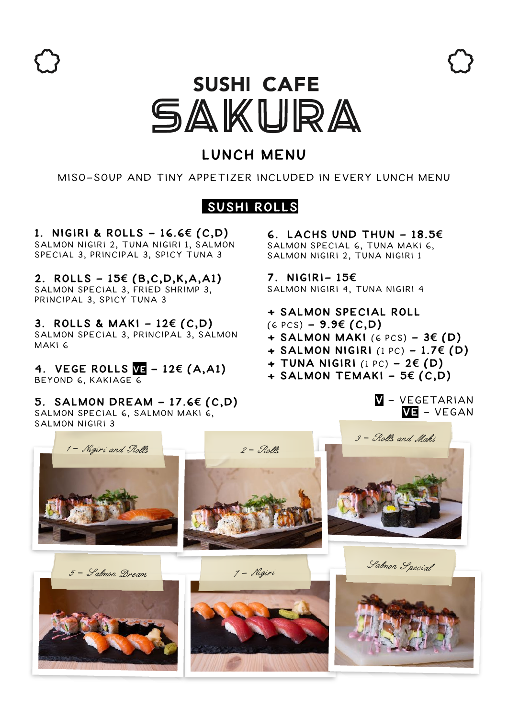

# **SUSHI CAFE** SAKURA

# **Lunch Menu**

Miso-SOup and Tiny Appetizer included in every lunch menu

# **Sushi Rolls**

**1. NIGIRI & ROLLs - 16.6€ (C,D)**  salmon Nigiri 2, Tuna Nigiri 1, Salmon Special 3, Principal 3, Spicy Tuna 3

**2. Rolls - 15€ (B,C,D,K,A,A1)**  Salmon Special 3, Fried Shrimp 3, Principal 3, Spicy Tuna 3

**3. Rolls & Maki - 12€ (C,D)** Salmon Special 3, Principal 3, Salmon Maki 6

**4. Vege RollS Ve - 12€ (A,A1)** BEYOND 6, KAKIAGE 6

**5. Salmon dream - 17.6€ (C,D)** Salmon special 6, Salmon maki 6, salmon nigiri 3

**6. LACHS und Thun - 18.5€** Salmon special 6, Tuna Maki 6, Salmon Nigiri 2, Tuna Nigiri 1

**7. NIGIRI- 15€** Salmon Nigiri 4, Tuna Nigiri 4

**+ salmon special Roll** 

- (6 pcs) **9.9€ (C,D)**
- **+ Salmon Maki** (6 pcs) **3€ (D)**
- **+ salmon Nigiri** (1 pc) **1.7€ (D)**
- **+ Tuna nigiri** (1 pc) **2€ (D)**
- **+ Salmon temaki 5€ (C,D)**

#### **V** - Vegetarian **Ve** - Vegan

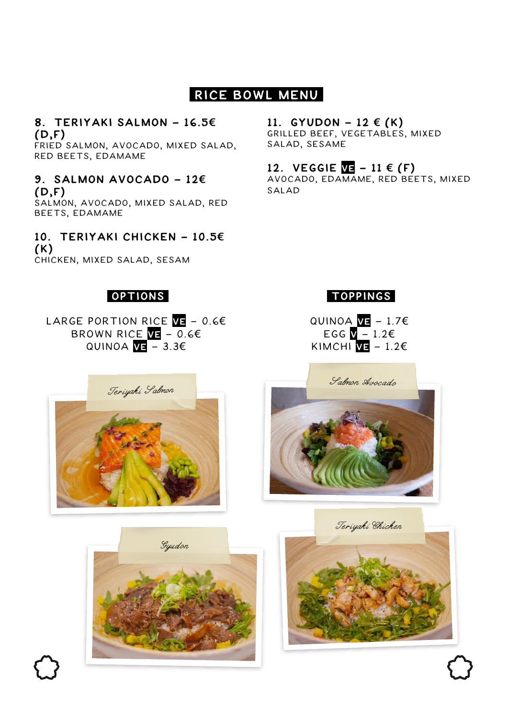# **Rice Bowl Menu**

#### **8. Teriyaki Salmon - 16.5€ (D,F)**

fried salmon, Avocado, mixed salad, Red beets, Edamame

**9. Salmon Avocado - 12€ (D,F)** salmon, Avocado, mixed salad, Red Beets, Edamame

**10. Teriyaki Chicken - 10.5€ (K)** chicken, mixed salad, Sesam

## **11.** GYUDON − 12  $\in$   $(K)$

grilled beef, Vegetables, mixed salad, Sesame

## **12.** VEGGIE **VE** − 11 €  $(F)$

Avocado, Edamame, Red Beets, mixed salad

## **Options**

LARGE portion Rice **Ve** - 0.6€ Brown Rice **Ve** - 0.6€ Quinoa **Ve** - 3.3€

## **Toppings**

Quinoa **Ve** - 1.7€ EGG  $\sqrt{ -1.26}$ Kimchi **Ve** - 1.2€